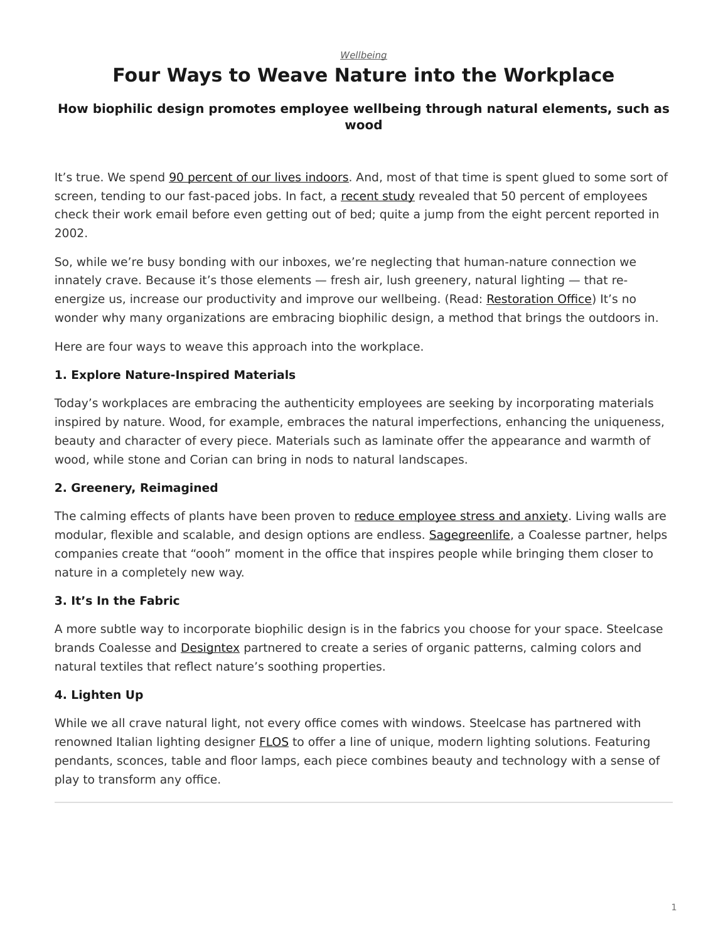#### *[Wellbeing](https://www.steelcase.com/research/topics/wellbeing/)*

# <span id="page-0-0"></span>**Four Ways to Weave Nature into the Workplace**

#### **How biophilic design promotes employee wellbeing through natural elements, such as wood**

It's true. We spend [90 percent of our lives indoors](https://workdesign.com/2018/09/enriching-the-workplace-with-biophilic-design/). And, most of that time is spent glued to some sort of screen, tending to our fast-paced jobs. In fact, a [recent study](https://www.dissentmagazine.org/article/coping-economy-mindfulness-goes-corporate) revealed that 50 percent of employees check their work email before even getting out of bed; quite a jump from the eight percent reported in 2002.

So, while we're busy bonding with our inboxes, we're neglecting that human-nature connection we innately crave. Because it's those elements — fresh air, lush greenery, natural lighting — that re-energize us, increase our productivity and improve our wellbeing. (Read: [Restoration Office\)](https://www.steelcase.com/research/articles/topics/wellbeing/restoration-office/) It's no wonder why many organizations are embracing biophilic design, a method that brings the outdoors in.

Here are four ways to weave this approach into the workplace.

#### **1. Explore Nature-Inspired Materials**

Today's workplaces are embracing the authenticity employees are seeking by incorporating materials inspired by nature. Wood, for example, embraces the natural imperfections, enhancing the uniqueness, beauty and character of every piece. Materials such as laminate offer the appearance and warmth of wood, while stone and Corian can bring in nods to natural landscapes.

#### **2. Greenery, Reimagined**

The calming effects of plants have been proven to [reduce employee stress and anxiety](https://www.ngia.com.au/Attachment?Action=Download&Attachment_id=1430). Living walls are modular, flexible and scalable, and design options are endless. [Sagegreenlife](https://www.sagegreenlife.com/), a Coalesse partner, helps companies create that "oooh" moment in the office that inspires people while bringing them closer to nature in a completely new way.

#### **3. It's In the Fabric**

A more subtle way to incorporate biophilic design is in the fabrics you choose for your space. Steelcase brands Coalesse and [Designtex](http://www.designtex.com/vescom/) partnered to create a series of organic patterns, calming colors and natural textiles that reflect nature's soothing properties.

#### **4. Lighten Up**

While we all crave natural light, not every office comes with windows. Steelcase has partnered with renowned Italian lighting designer [FLOS](https://www.steelcase.com/products/lighting/flos/) to offer a line of unique, modern lighting solutions. Featuring pendants, sconces, table and floor lamps, each piece combines beauty and technology with a sense of play to transform any office.